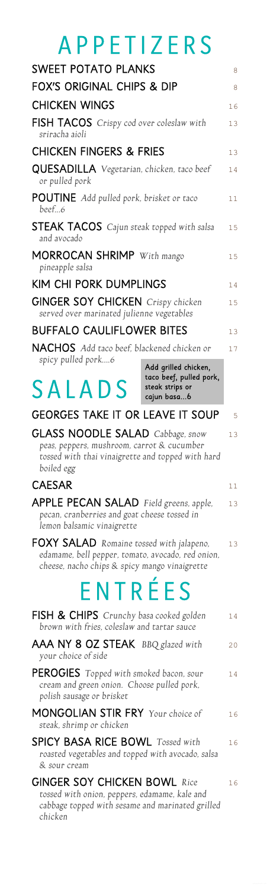| <b>APPETIZERS</b>                                                                                                                                     |    |
|-------------------------------------------------------------------------------------------------------------------------------------------------------|----|
| <b>SWEET POTATO PLANKS</b>                                                                                                                            | 8  |
| <b>FOX'S ORIGINAL CHIPS &amp; DIP</b>                                                                                                                 | 8  |
| <b>CHICKEN WINGS</b>                                                                                                                                  | 16 |
| FISH TACOS Crispy cod over coleslaw with                                                                                                              | 13 |
| sriracha aioli                                                                                                                                        |    |
| <b>CHICKEN FINGERS &amp; FRIES</b>                                                                                                                    | 13 |
| <b>QUESADILLA</b> Vegetarian, chicken, taco beef<br>or pulled pork                                                                                    | 14 |
| POUTINE Add pulled pork, brisket or taco<br>beef.6                                                                                                    | 11 |
| <b>STEAK TACOS</b> Cajun steak topped with salsa<br>and avocado                                                                                       | 15 |
| <b>MORROCAN SHRIMP</b> With mango<br>pineapple salsa                                                                                                  | 15 |
| KIM CHI PORK DUMPLINGS                                                                                                                                | 14 |
| <b>GINGER SOY CHICKEN</b> Crispy chicken                                                                                                              | 15 |
| served over marinated julienne vegetables                                                                                                             |    |
| <b>BUFFALO CAULIFLOWER BITES</b>                                                                                                                      | 13 |
| NACHOS Add taco beef, blackened chicken or                                                                                                            | 17 |
| spicy pulled pork6<br>Add grilled chicken,<br>taco beef, pulled pork,<br><b>SALADS</b><br>steak strips or<br>cajun basa6                              |    |
| GEORGES TAKE IT OR LEAVE IT SOUP                                                                                                                      | 5  |
| <b>GLASS NOODLE SALAD</b> Cabbage, snow                                                                                                               | 13 |
| peas, peppers, mushroom, carrot & cucumber<br>tossed with thai vinaigrette and topped with hard                                                       |    |
| boiled egg                                                                                                                                            |    |
| <b>CAESAR</b>                                                                                                                                         | 11 |
| <b>APPLE PECAN SALAD</b> Field greens, apple,<br>pecan, cranberries and goat cheese tossed in<br>lemon balsamic vinaigrette                           | 13 |
| <b>FOXY SALAD</b> Romaine tossed with jalapeno,<br>edamame, bell pepper, tomato, avocado, red onion,<br>cheese, nacho chips & spicy mango vinaigrette | 13 |
| ENTRÉES                                                                                                                                               |    |
| FISH & CHIPS Crunchy basa cooked golden<br>brown with fries, coleslaw and tartar sauce                                                                | 14 |
| AAA NY 8 OZ STEAK BBQ glazed with<br>your choice of side                                                                                              | 20 |
| PEROGIES Topped with smoked bacon, sour<br>cream and green onion. Choose pulled pork,<br>polish sausage or brisket                                    | 14 |
| <b>MONGOLIAN STIR FRY</b> Your choice of                                                                                                              | 16 |

*steak, shrimp or chicken* SPICY BASA RICE BOWL *Tossed with roasted vegetables and topped with avocado, salsa & sour cream* 16

## GINGER SOY CHICKEN BOWL *Rice tossed with onion, peppers, edamame, kale and cabbage topped with sesame and marinated grilled chicken* 16